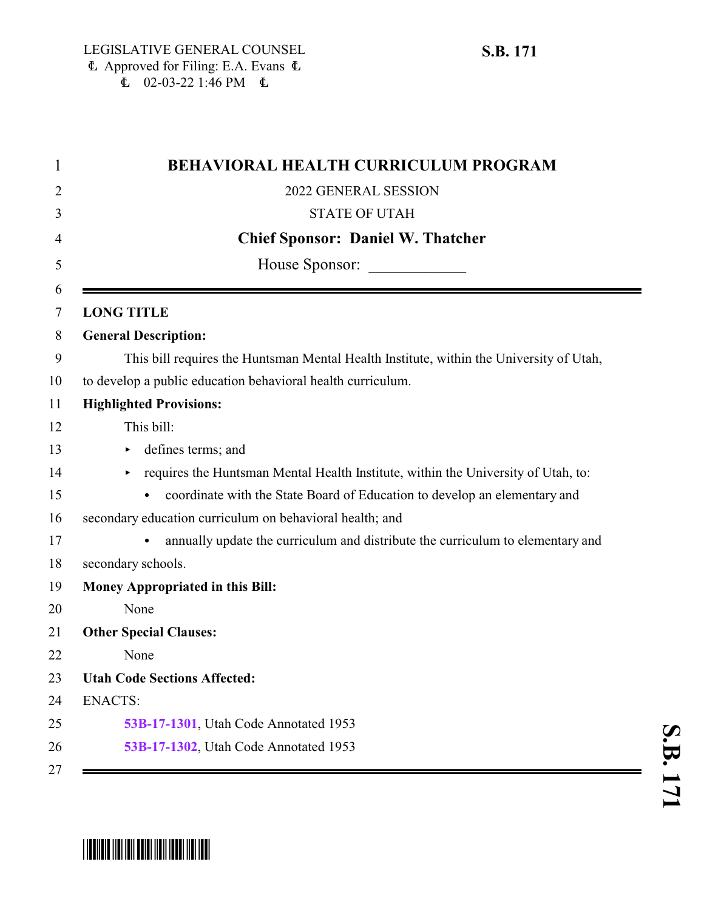| <b>BEHAVIORAL HEALTH CURRICULUM PROGRAM</b>                                             |
|-----------------------------------------------------------------------------------------|
| 2022 GENERAL SESSION                                                                    |
| <b>STATE OF UTAH</b>                                                                    |
| <b>Chief Sponsor: Daniel W. Thatcher</b>                                                |
| House Sponsor:                                                                          |
|                                                                                         |
| <b>LONG TITLE</b>                                                                       |
| <b>General Description:</b>                                                             |
| This bill requires the Huntsman Mental Health Institute, within the University of Utah, |
| to develop a public education behavioral health curriculum.                             |
| <b>Highlighted Provisions:</b>                                                          |
| This bill:                                                                              |
| defines terms; and                                                                      |
| requires the Huntsman Mental Health Institute, within the University of Utah, to:       |
| coordinate with the State Board of Education to develop an elementary and               |
| secondary education curriculum on behavioral health; and                                |
| annually update the curriculum and distribute the curriculum to elementary and          |
| secondary schools.                                                                      |
| <b>Money Appropriated in this Bill:</b>                                                 |
| None                                                                                    |
| <b>Other Special Clauses:</b>                                                           |
| None                                                                                    |
| <b>Utah Code Sections Affected:</b>                                                     |
| <b>ENACTS:</b>                                                                          |
| 53B-17-1301, Utah Code Annotated 1953                                                   |
| 53B-17-1302, Utah Code Annotated 1953                                                   |

## \*SB0171\*